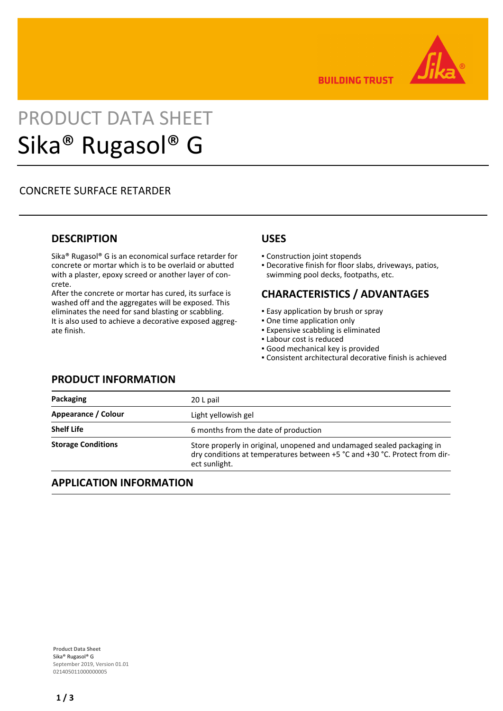

**BUILDING TRUST** 

# PRODUCT DATA SHEET Sika® Rugasol® G

## CONCRETE SURFACE RETARDER

## **DESCRIPTION**

Sika® Rugasol® G is an economical surface retarder for concrete or mortar which is to be overlaid or abutted with a plaster, epoxy screed or another layer of concrete.

After the concrete or mortar has cured, its surface is washed off and the aggregates will be exposed. This eliminates the need for sand blasting or scabbling. It is also used to achieve a decorative exposed aggregate finish.

## **USES**

- Construction joint stopends
- Decorative finish for floor slabs, driveways, patios, swimming pool decks, footpaths, etc.

## **CHARACTERISTICS / ADVANTAGES**

- **Easy application by brush or spray**
- One time application only
- **Expensive scabbling is eliminated**
- **.** Labour cost is reduced
- Good mechanical key is provided
- Consistent architectural decorative finish is achieved

| Packaging                 | 20 L pail                                                                                                                                                             |
|---------------------------|-----------------------------------------------------------------------------------------------------------------------------------------------------------------------|
| Appearance / Colour       | Light yellowish gel                                                                                                                                                   |
| <b>Shelf Life</b>         | 6 months from the date of production                                                                                                                                  |
| <b>Storage Conditions</b> | Store properly in original, unopened and undamaged sealed packaging in<br>dry conditions at temperatures between +5 °C and +30 °C. Protect from dir-<br>ect sunlight. |

## **APPLICATION INFORMATION**

**PRODUCT INFORMATION**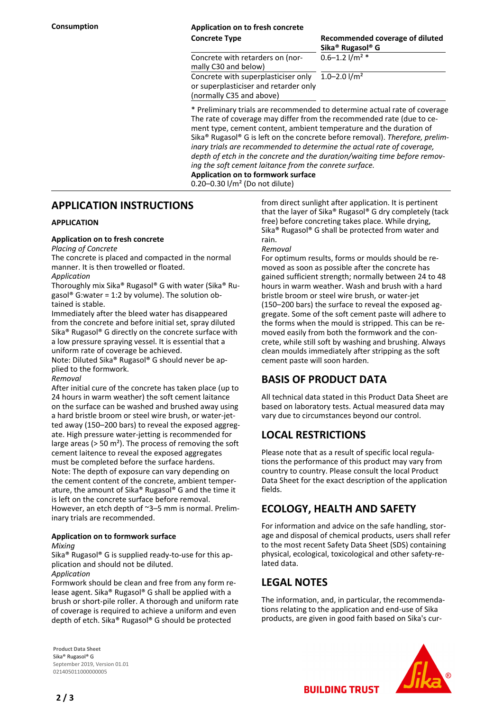## **Consumption Application on to fresh concrete**

**Concrete Type Recommended coverage of diluted Sika® Rugasol® G**  $0.6 - 1.2$  l/m<sup>2</sup>  $*$ 

Concrete with retarders on (normally C30 and below) Concrete with superplasticiser only or superplasticiser and retarder only (normally C35 and above)

 $1.0 - 2.0$  l/m<sup>2</sup>

\* Preliminary trials are recommended to determine actual rate of coverage The rate of coverage may differ from the recommended rate (due to cement type, cement content, ambient temperature and the duration of Sika® Rugasol® G is left on the concrete before removal). *Therefore, preliminary trials are recommended to determine the actual rate of coverage, depth of etch in the concrete and the duration/waiting time before removing the soft cement laitance from the conrete surface.* **Application on to formwork surface**

0.20–0.30 l/m² (Do not dilute)

## **APPLICATION INSTRUCTIONS**

#### **APPLICATION**

#### **Application on to fresh concrete**

*Placing of Concrete*

The concrete is placed and compacted in the normal manner. It is then trowelled or floated.

*Application*

Thoroughly mix Sika® Rugasol® G with water (Sika® Rugasol<sup>®</sup> G:water = 1:2 by volume). The solution obtained is stable.

Immediately after the bleed water has disappeared from the concrete and before initial set, spray diluted Sika® Rugasol® G directly on the concrete surface with a low pressure spraying vessel. It is essential that a uniform rate of coverage be achieved.

Note: Diluted Sika® Rugasol® G should never be applied to the formwork.

#### *Removal*

After initial cure of the concrete has taken place (up to 24 hours in warm weather) the soft cement laitance on the surface can be washed and brushed away using a hard bristle broom or steel wire brush, or water-jetted away (150–200 bars) to reveal the exposed aggregate. High pressure water-jetting is recommended for large areas ( $> 50$  m<sup>2</sup>). The process of removing the soft cement laitence to reveal the exposed aggregates must be completed before the surface hardens. Note: The depth of exposure can vary depending on the cement content of the concrete, ambient temperature, the amount of Sika® Rugasol® G and the time it is left on the concrete surface before removal. However, an etch depth of ~3–5 mm is normal. Preliminary trials are recommended.

#### **Application on to formwork surface**

*Mixing*

Sika® Rugasol® G is supplied ready-to-use for this application and should not be diluted. *Application*

Formwork should be clean and free from any form release agent. Sika® Rugasol® G shall be applied with a brush or short-pile roller. A thorough and uniform rate of coverage is required to achieve a uniform and even depth of etch. Sika® Rugasol® G should be protected

**Product Data Sheet** Sika® Rugasol® G September 2019, Version 01.01 021405011000000005

from direct sunlight after application. It is pertinent that the layer of Sika® Rugasol® G dry completely (tack free) before concreting takes place. While drying, Sika® Rugasol® G shall be protected from water and rain.

#### *Removal*

For optimum results, forms or moulds should be removed as soon as possible after the concrete has gained sufficient strength; normally between 24 to 48 hours in warm weather. Wash and brush with a hard bristle broom or steel wire brush, or water-jet (150–200 bars) the surface to reveal the exposed aggregate. Some of the soft cement paste will adhere to the forms when the mould is stripped. This can be removed easily from both the formwork and the concrete, while still soft by washing and brushing. Always clean moulds immediately after stripping as the soft cement paste will soon harden.

## **BASIS OF PRODUCT DATA**

All technical data stated in this Product Data Sheet are based on laboratory tests. Actual measured data may vary due to circumstances beyond our control.

## **LOCAL RESTRICTIONS**

Please note that as a result of specific local regulations the performance of this product may vary from country to country. Please consult the local Product Data Sheet for the exact description of the application fields.

## **ECOLOGY, HEALTH AND SAFETY**

For information and advice on the safe handling, storage and disposal of chemical products, users shall refer to the most recent Safety Data Sheet (SDS) containing physical, ecological, toxicological and other safety-related data.

## **LEGAL NOTES**

The information, and, in particular, the recommendations relating to the application and end-use of Sika products, are given in good faith based on Sika's cur-



**BUILDING TRUST** 

**2 / 3**